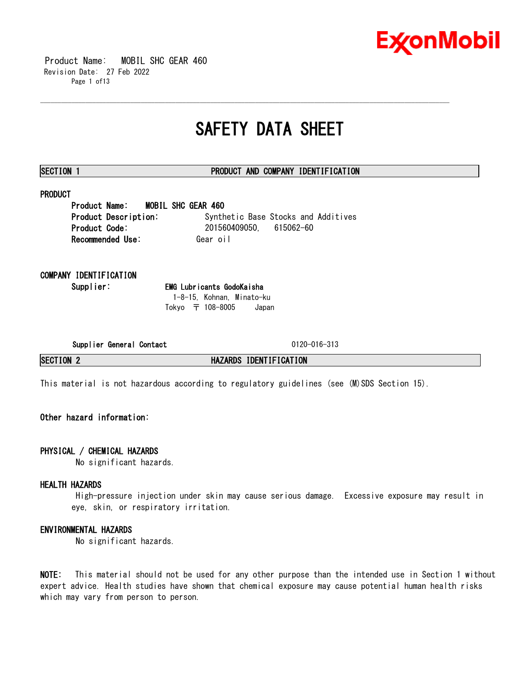

 Product Name: MOBIL SHC GEAR 460 Revision Date: 27 Feb 2022 Page 1 of13

## **SAFETY DATA SHEET**

\_\_\_\_\_\_\_\_\_\_\_\_\_\_\_\_\_\_\_\_\_\_\_\_\_\_\_\_\_\_\_\_\_\_\_\_\_\_\_\_\_\_\_\_\_\_\_\_\_\_\_\_\_\_\_\_\_\_\_\_\_\_\_\_\_\_\_\_\_\_\_\_\_\_\_\_\_\_\_\_\_\_\_\_\_\_\_\_\_\_\_\_\_\_\_\_\_\_\_\_\_\_\_\_\_\_\_\_\_\_\_\_\_\_\_\_\_\_

### **SECTION 1 PRODUCT AND COMPANY IDENTIFICATION**

### **PRODUCT**

**Product Name: MOBIL SHC GEAR 460 Product Description:** Synthetic Base Stocks and Additives **Product Code:** 201560409050, 615062-60 **Recommended Use: Gear oil** 

### **COMPANY IDENTIFICATION**

**Supplier: EMG Lubricants GodoKaisha** 1-8-15, Kohnan, Minato-ku Tokyo 〒 108-8005 Japan

**Supplier General Contact** 0120-016-313

**SECTION 2 HAZARDS IDENTIFICATION**

This material is not hazardous according to regulatory guidelines (see (M)SDS Section 15).

### **Other hazard information:**

#### **PHYSICAL / CHEMICAL HAZARDS**

No significant hazards.

#### **HEALTH HAZARDS**

High-pressure injection under skin may cause serious damage. Excessive exposure may result in eye, skin, or respiratory irritation.

#### **ENVIRONMENTAL HAZARDS**

No significant hazards.

**NOTE:** This material should not be used for any other purpose than the intended use in Section 1 without expert advice. Health studies have shown that chemical exposure may cause potential human health risks which may vary from person to person.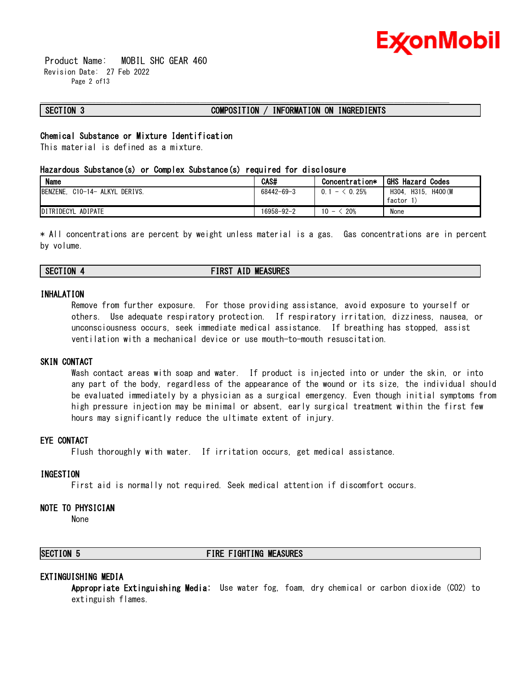

 Product Name: MOBIL SHC GEAR 460 Revision Date: 27 Feb 2022 Page 2 of13

#### **SECTION 3 COMPOSITION / INFORMATION ON INGREDIENTS**

\_\_\_\_\_\_\_\_\_\_\_\_\_\_\_\_\_\_\_\_\_\_\_\_\_\_\_\_\_\_\_\_\_\_\_\_\_\_\_\_\_\_\_\_\_\_\_\_\_\_\_\_\_\_\_\_\_\_\_\_\_\_\_\_\_\_\_\_\_\_\_\_\_\_\_\_\_\_\_\_\_\_\_\_\_\_\_\_\_\_\_\_\_\_\_\_\_\_\_\_\_\_\_\_\_\_\_\_\_\_\_\_\_\_\_\_\_\_

#### **Chemical Substance or Mixture Identification**

This material is defined as a mixture.

#### **Hazardous Substance(s) or Complex Substance(s) required for disclosure**

| <b>Name</b>                              | CAS#       | Concentration*           | <b>GHS Hazard Codes</b>   |
|------------------------------------------|------------|--------------------------|---------------------------|
| <b>BENZENE.</b><br>C10-14- ALKYL DERIVS. | 68442-69-3 | $<$ 0.25%<br>0.1<br>$-2$ | H400 (M<br>H315.<br>H304. |
|                                          |            |                          | factor                    |
| DITRIDECYL ADIPATE                       | 16958-92-2 | 20%<br>10                | None                      |

\* All concentrations are percent by weight unless material is a gas. Gas concentrations are in percent by volume.

#### **SECTION 4 FIRST AID MEASURES**

#### **INHALATION**

Remove from further exposure. For those providing assistance, avoid exposure to yourself or others. Use adequate respiratory protection. If respiratory irritation, dizziness, nausea, or unconsciousness occurs, seek immediate medical assistance. If breathing has stopped, assist ventilation with a mechanical device or use mouth-to-mouth resuscitation.

#### **SKIN CONTACT**

Wash contact areas with soap and water. If product is injected into or under the skin, or into any part of the body, regardless of the appearance of the wound or its size, the individual should be evaluated immediately by a physician as a surgical emergency. Even though initial symptoms from high pressure injection may be minimal or absent, early surgical treatment within the first few hours may significantly reduce the ultimate extent of injury.

#### **EYE CONTACT**

Flush thoroughly with water. If irritation occurs, get medical assistance.

#### **INGESTION**

First aid is normally not required. Seek medical attention if discomfort occurs.

#### **NOTE TO PHYSICIAN**

None

### **SECTION 5 FIRE FIGHTING MEASURES**

#### **EXTINGUISHING MEDIA**

**Appropriate Extinguishing Media:** Use water fog, foam, dry chemical or carbon dioxide (CO2) to extinguish flames.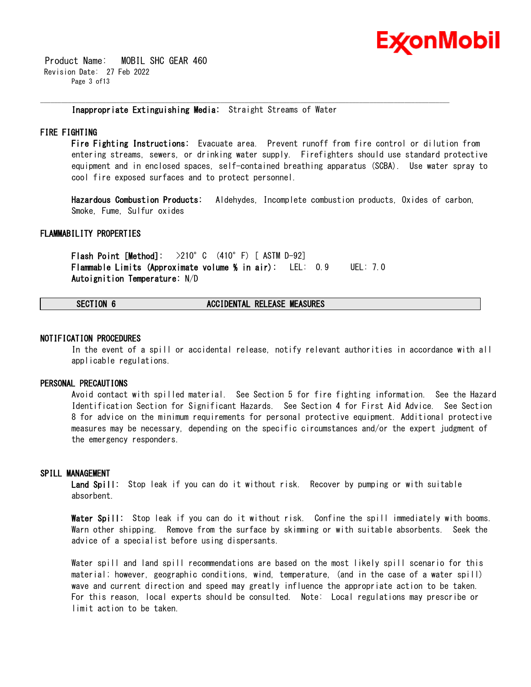

 Product Name: MOBIL SHC GEAR 460 Revision Date: 27 Feb 2022 Page 3 of13

**Inappropriate Extinguishing Media:** Straight Streams of Water

\_\_\_\_\_\_\_\_\_\_\_\_\_\_\_\_\_\_\_\_\_\_\_\_\_\_\_\_\_\_\_\_\_\_\_\_\_\_\_\_\_\_\_\_\_\_\_\_\_\_\_\_\_\_\_\_\_\_\_\_\_\_\_\_\_\_\_\_\_\_\_\_\_\_\_\_\_\_\_\_\_\_\_\_\_\_\_\_\_\_\_\_\_\_\_\_\_\_\_\_\_\_\_\_\_\_\_\_\_\_\_\_\_\_\_\_\_\_

### **FIRE FIGHTING**

**Fire Fighting Instructions:** Evacuate area. Prevent runoff from fire control or dilution from entering streams, sewers, or drinking water supply. Firefighters should use standard protective equipment and in enclosed spaces, self-contained breathing apparatus (SCBA). Use water spray to cool fire exposed surfaces and to protect personnel.

**Hazardous Combustion Products:** Aldehydes, Incomplete combustion products, Oxides of carbon, Smoke, Fume, Sulfur oxides

#### **FLAMMABILITY PROPERTIES**

**Flash Point [Method]:** >210°C (410°F) [ ASTM D-92] **Flammable Limits (Approximate volume % in air):** LEL: 0.9 UEL: 7.0 **Autoignition Temperature:** N/D

#### **SECTION 6 ACCIDENTAL RELEASE MEASURES**

#### **NOTIFICATION PROCEDURES**

In the event of a spill or accidental release, notify relevant authorities in accordance with all applicable regulations.

#### **PERSONAL PRECAUTIONS**

Avoid contact with spilled material. See Section 5 for fire fighting information. See the Hazard Identification Section for Significant Hazards. See Section 4 for First Aid Advice. See Section 8 for advice on the minimum requirements for personal protective equipment. Additional protective measures may be necessary, depending on the specific circumstances and/or the expert judgment of the emergency responders.

#### **SPILL MANAGEMENT**

**Land Spill:** Stop leak if you can do it without risk. Recover by pumping or with suitable absorbent.

**Water Spill:** Stop leak if you can do it without risk. Confine the spill immediately with booms. Warn other shipping. Remove from the surface by skimming or with suitable absorbents. Seek the advice of a specialist before using dispersants.

Water spill and land spill recommendations are based on the most likely spill scenario for this material; however, geographic conditions, wind, temperature, (and in the case of a water spill) wave and current direction and speed may greatly influence the appropriate action to be taken. For this reason, local experts should be consulted. Note: Local regulations may prescribe or limit action to be taken.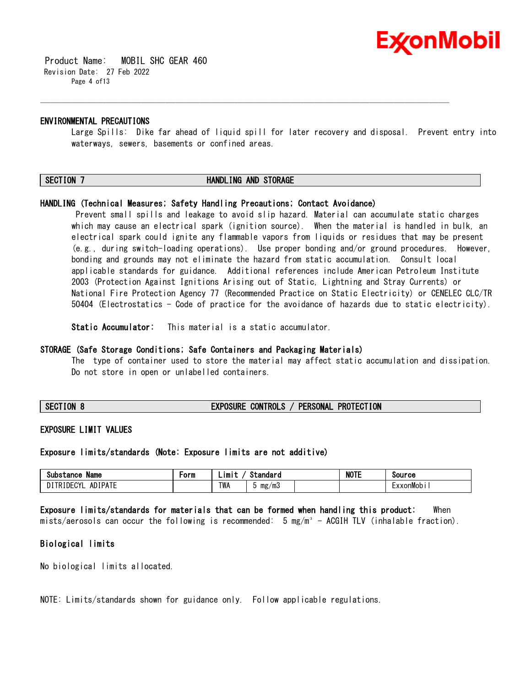

 Product Name: MOBIL SHC GEAR 460 Revision Date: 27 Feb 2022 Page 4 of13

#### **ENVIRONMENTAL PRECAUTIONS**

Large Spills: Dike far ahead of liquid spill for later recovery and disposal. Prevent entry into waterways, sewers, basements or confined areas.

\_\_\_\_\_\_\_\_\_\_\_\_\_\_\_\_\_\_\_\_\_\_\_\_\_\_\_\_\_\_\_\_\_\_\_\_\_\_\_\_\_\_\_\_\_\_\_\_\_\_\_\_\_\_\_\_\_\_\_\_\_\_\_\_\_\_\_\_\_\_\_\_\_\_\_\_\_\_\_\_\_\_\_\_\_\_\_\_\_\_\_\_\_\_\_\_\_\_\_\_\_\_\_\_\_\_\_\_\_\_\_\_\_\_\_\_\_\_

#### **SECTION 7 HANDLING AND STORAGE**

#### **HANDLING (Technical Measures; Safety Handling Precautions; Contact Avoidance)**

Prevent small spills and leakage to avoid slip hazard. Material can accumulate static charges which may cause an electrical spark (ignition source). When the material is handled in bulk, an electrical spark could ignite any flammable vapors from liquids or residues that may be present (e.g., during switch-loading operations). Use proper bonding and/or ground procedures. However, bonding and grounds may not eliminate the hazard from static accumulation. Consult local applicable standards for guidance. Additional references include American Petroleum Institute 2003 (Protection Against Ignitions Arising out of Static, Lightning and Stray Currents) or National Fire Protection Agency 77 (Recommended Practice on Static Electricity) or CENELEC CLC/TR 50404 (Electrostatics - Code of practice for the avoidance of hazards due to static electricity).

**Static Accumulator:** This material is a static accumulator.

#### **STORAGE (Safe Storage Conditions; Safe Containers and Packaging Materials)**

The type of container used to store the material may affect static accumulation and dissipation. Do not store in open or unlabelled containers.

#### **SECTION 8 EXPOSURE CONTROLS / PERSONAL PROTECTION**

#### **EXPOSURE LIMIT VALUES**

**Exposure limits/standards (Note: Exposure limits are not additive)**

| Name<br>substance                                        | ∙orm | imi 1      | Standaro  | <b>NOTE</b> | Source    |
|----------------------------------------------------------|------|------------|-----------|-------------|-----------|
| <b>ADIPATE</b><br><b>DIDEAVE</b><br>≀ DF<br>к<br>. u I L |      | <b>TWA</b> | mg<br>∕m3 |             | :xxonMobi |

**Exposure limits/standards for materials that can be formed when handling this product:** When mists/aerosols can occur the following is recommended:  $5 \text{ mg/m}^3$  - ACGIH TLV (inhalable fraction).

#### **Biological limits**

No biological limits allocated.

NOTE: Limits/standards shown for guidance only. Follow applicable regulations.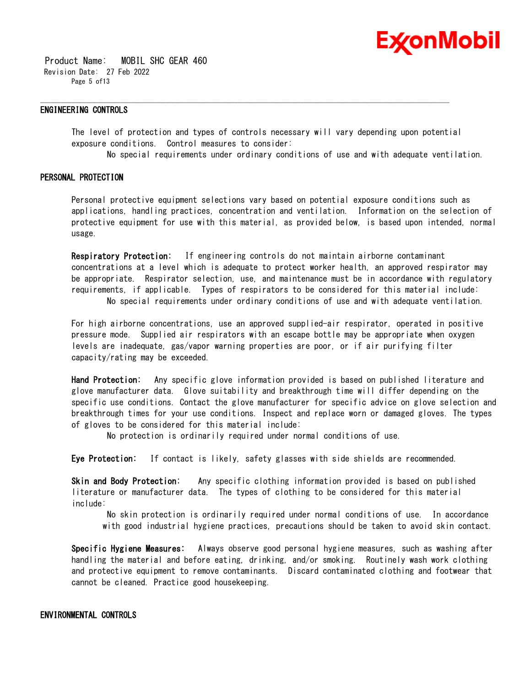

 Product Name: MOBIL SHC GEAR 460 Revision Date: 27 Feb 2022 Page 5 of13

#### **ENGINEERING CONTROLS**

The level of protection and types of controls necessary will vary depending upon potential exposure conditions. Control measures to consider:

\_\_\_\_\_\_\_\_\_\_\_\_\_\_\_\_\_\_\_\_\_\_\_\_\_\_\_\_\_\_\_\_\_\_\_\_\_\_\_\_\_\_\_\_\_\_\_\_\_\_\_\_\_\_\_\_\_\_\_\_\_\_\_\_\_\_\_\_\_\_\_\_\_\_\_\_\_\_\_\_\_\_\_\_\_\_\_\_\_\_\_\_\_\_\_\_\_\_\_\_\_\_\_\_\_\_\_\_\_\_\_\_\_\_\_\_\_\_

No special requirements under ordinary conditions of use and with adequate ventilation.

#### **PERSONAL PROTECTION**

Personal protective equipment selections vary based on potential exposure conditions such as applications, handling practices, concentration and ventilation. Information on the selection of protective equipment for use with this material, as provided below, is based upon intended, normal usage.

**Respiratory Protection:** If engineering controls do not maintain airborne contaminant concentrations at a level which is adequate to protect worker health, an approved respirator may be appropriate. Respirator selection, use, and maintenance must be in accordance with regulatory requirements, if applicable. Types of respirators to be considered for this material include: No special requirements under ordinary conditions of use and with adequate ventilation.

For high airborne concentrations, use an approved supplied-air respirator, operated in positive pressure mode. Supplied air respirators with an escape bottle may be appropriate when oxygen levels are inadequate, gas/vapor warning properties are poor, or if air purifying filter capacity/rating may be exceeded.

**Hand Protection:** Any specific glove information provided is based on published literature and glove manufacturer data. Glove suitability and breakthrough time will differ depending on the specific use conditions. Contact the glove manufacturer for specific advice on glove selection and breakthrough times for your use conditions. Inspect and replace worn or damaged gloves. The types of gloves to be considered for this material include:

No protection is ordinarily required under normal conditions of use.

**Eye Protection:** If contact is likely, safety glasses with side shields are recommended.

**Skin and Body Protection:** Any specific clothing information provided is based on published literature or manufacturer data. The types of clothing to be considered for this material include:

No skin protection is ordinarily required under normal conditions of use. In accordance with good industrial hygiene practices, precautions should be taken to avoid skin contact.

**Specific Hygiene Measures:** Always observe good personal hygiene measures, such as washing after handling the material and before eating, drinking, and/or smoking. Routinely wash work clothing and protective equipment to remove contaminants. Discard contaminated clothing and footwear that cannot be cleaned. Practice good housekeeping.

#### **ENVIRONMENTAL CONTROLS**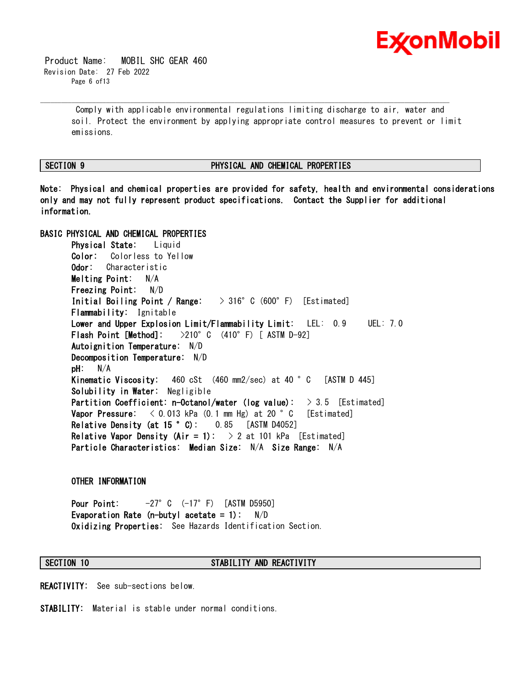

 Product Name: MOBIL SHC GEAR 460 Revision Date: 27 Feb 2022 Page 6 of13

> Comply with applicable environmental regulations limiting discharge to air, water and soil. Protect the environment by applying appropriate control measures to prevent or limit emissions.

\_\_\_\_\_\_\_\_\_\_\_\_\_\_\_\_\_\_\_\_\_\_\_\_\_\_\_\_\_\_\_\_\_\_\_\_\_\_\_\_\_\_\_\_\_\_\_\_\_\_\_\_\_\_\_\_\_\_\_\_\_\_\_\_\_\_\_\_\_\_\_\_\_\_\_\_\_\_\_\_\_\_\_\_\_\_\_\_\_\_\_\_\_\_\_\_\_\_\_\_\_\_\_\_\_\_\_\_\_\_\_\_\_\_\_\_\_\_

#### **SECTION 9 PHYSICAL AND CHEMICAL PROPERTIES**

**Note: Physical and chemical properties are provided for safety, health and environmental considerations only and may not fully represent product specifications. Contact the Supplier for additional information.**

**BASIC PHYSICAL AND CHEMICAL PROPERTIES Physical State:** Liquid **Color:** Colorless to Yellow **Odor:** Characteristic **Melting Point:** N/A **Freezing Point:** N/D **Initial Boiling Point / Range:** > 316°C (600°F) [Estimated] **Flammability:** Ignitable **Lower and Upper Explosion Limit/Flammability Limit:** LEL: 0.9 UEL: 7.0 **Flash Point [Method]:** >210°C (410°F) [ ASTM D-92] **Autoignition Temperature:** N/D **Decomposition Temperature:** N/D **pH:** N/A **Kinematic Viscosity:** 460 cSt (460 mm2/sec) at 40 °C [ASTM D 445] **Solubility in Water:** Negligible **Partition Coefficient: n-Octanol/water (log value):** > 3.5 [Estimated] **Vapor Pressure:**  $\langle 0.013 \text{ kPa} (0.1 \text{ mm Hg}) \text{ at } 20 \degree \text{ C}$  [Estimated] **Relative Density (at 15 °C):** 0.85 [ASTM D4052] **Relative Vapor Density (Air = 1):**  $\rightarrow$  2 at 101 kPa [Estimated] **Particle Characteristics: Median Size:** N/A **Size Range:** N/A

#### **OTHER INFORMATION**

**Pour Point:** -27°C (-17°F) [ASTM D5950] **Evaporation Rate (n-butyl acetate = 1):** N/D **Oxidizing Properties:** See Hazards Identification Section.

#### **SECTION 10 STABILITY AND REACTIVITY**

**REACTIVITY:** See sub-sections below.

**STABILITY:** Material is stable under normal conditions.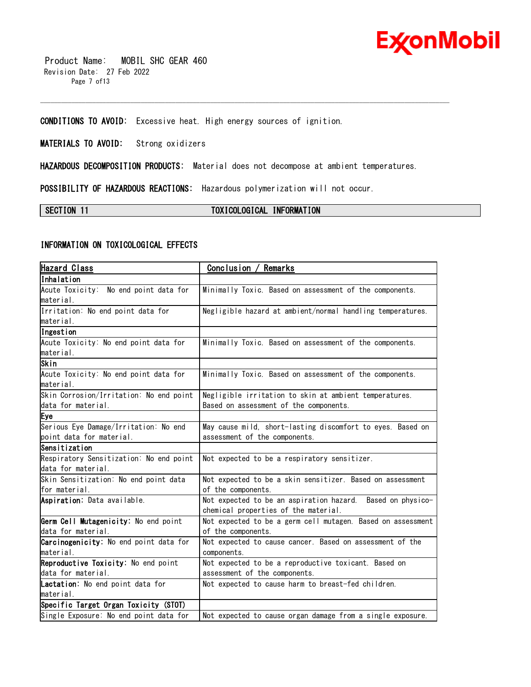

 Product Name: MOBIL SHC GEAR 460 Revision Date: 27 Feb 2022 Page 7 of13

**CONDITIONS TO AVOID:** Excessive heat. High energy sources of ignition.

**MATERIALS TO AVOID:** Strong oxidizers

**HAZARDOUS DECOMPOSITION PRODUCTS:** Material does not decompose at ambient temperatures.

\_\_\_\_\_\_\_\_\_\_\_\_\_\_\_\_\_\_\_\_\_\_\_\_\_\_\_\_\_\_\_\_\_\_\_\_\_\_\_\_\_\_\_\_\_\_\_\_\_\_\_\_\_\_\_\_\_\_\_\_\_\_\_\_\_\_\_\_\_\_\_\_\_\_\_\_\_\_\_\_\_\_\_\_\_\_\_\_\_\_\_\_\_\_\_\_\_\_\_\_\_\_\_\_\_\_\_\_\_\_\_\_\_\_\_\_\_\_

**POSSIBILITY OF HAZARDOUS REACTIONS:** Hazardous polymerization will not occur.

**SECTION 11 TOXICOLOGICAL INFORMATION**

### **INFORMATION ON TOXICOLOGICAL EFFECTS**

| <b>Hazard Class</b>                     | Conclusion / Remarks                                        |
|-----------------------------------------|-------------------------------------------------------------|
| Inhalation                              |                                                             |
| Acute Toxicity: No end point data for   | Minimally Toxic. Based on assessment of the components.     |
| material.                               |                                                             |
| Irritation: No end point data for       | Negligible hazard at ambient/normal handling temperatures.  |
| material.                               |                                                             |
| Ingestion                               |                                                             |
| Acute Toxicity: No end point data for   | Minimally Toxic. Based on assessment of the components.     |
| material.                               |                                                             |
| Skin                                    |                                                             |
| Acute Toxicity: No end point data for   | Minimally Toxic. Based on assessment of the components.     |
| material.                               |                                                             |
| Skin Corrosion/Irritation: No end point | Negligible irritation to skin at ambient temperatures.      |
| data for material.                      | Based on assessment of the components.                      |
| Eye                                     |                                                             |
| Serious Eye Damage/Irritation: No end   | May cause mild, short-lasting discomfort to eyes. Based on  |
| point data for material.                | assessment of the components.                               |
| Sensitization                           |                                                             |
| Respiratory Sensitization: No end point | Not expected to be a respiratory sensitizer.                |
| data for material.                      |                                                             |
| Skin Sensitization: No end point data   | Not expected to be a skin sensitizer. Based on assessment   |
| for material.                           | of the components.                                          |
| Aspiration: Data available.             | Not expected to be an aspiration hazard. Based on physico-  |
|                                         | chemical properties of the material.                        |
| Germ Cell Mutagenicity: No end point    | Not expected to be a germ cell mutagen. Based on assessment |
| data for material.                      | of the components.                                          |
| Carcinogenicity: No end point data for  | Not expected to cause cancer. Based on assessment of the    |
| material.                               | components.                                                 |
| Reproductive Toxicity: No end point     | Not expected to be a reproductive toxicant. Based on        |
| data for material.                      | assessment of the components.                               |
| Lactation: No end point data for        | Not expected to cause harm to breast-fed children.          |
| material.                               |                                                             |
| Specific Target Organ Toxicity (STOT)   |                                                             |
| Single Exposure: No end point data for  | Not expected to cause organ damage from a single exposure.  |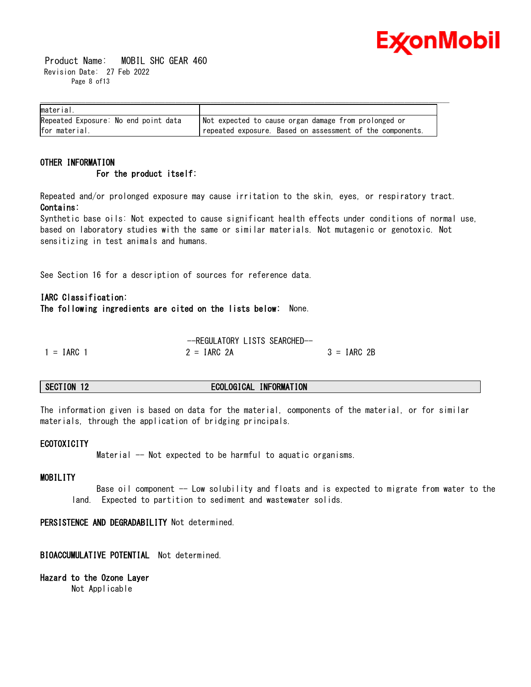

 Product Name: MOBIL SHC GEAR 460 Revision Date: 27 Feb 2022 Page 8 of13

| material.                            |                                                           |
|--------------------------------------|-----------------------------------------------------------|
| Repeated Exposure: No end point data | Not expected to cause organ damage from prolonged or      |
| for material.                        | repeated exposure. Based on assessment of the components. |

#### **OTHER INFORMATION For the product itself:**

Repeated and/or prolonged exposure may cause irritation to the skin, eyes, or respiratory tract. **Contains:**

Synthetic base oils: Not expected to cause significant health effects under conditions of normal use, based on laboratory studies with the same or similar materials. Not mutagenic or genotoxic. Not sensitizing in test animals and humans.

See Section 16 for a description of sources for reference data.

### **IARC Classification:**

**The following ingredients are cited on the lists below:** None.

|              | --REGULATORY LISTS SEARCHED- |               |
|--------------|------------------------------|---------------|
| $1 = IARC 1$ | $2 = IARC 2A$                | $3 = IARC 2B$ |

### **SECTION 12 ECOLOGICAL INFORMATION**

The information given is based on data for the material, components of the material, or for similar materials, through the application of bridging principals.

#### **ECOTOXICITY**

Material -- Not expected to be harmful to aquatic organisms.

#### **MOBILITY**

Base oil component -- Low solubility and floats and is expected to migrate from water to the land. Expected to partition to sediment and wastewater solids.

**PERSISTENCE AND DEGRADABILITY** Not determined.

**BIOACCUMULATIVE POTENTIAL** Not determined.

**Hazard to the Ozone Layer** 

Not Applicable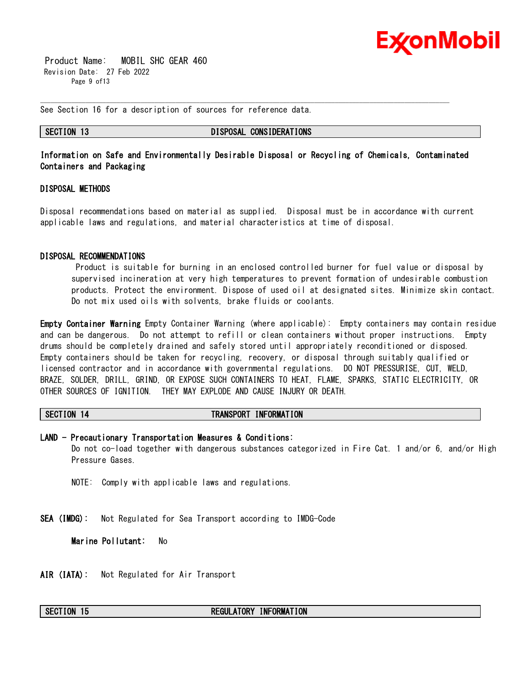

 Product Name: MOBIL SHC GEAR 460 Revision Date: 27 Feb 2022 Page 9 of13

See Section 16 for a description of sources for reference data.

**SECTION 13 DISPOSAL CONSIDERATIONS**

**Information on Safe and Environmentally Desirable Disposal or Recycling of Chemicals, Contaminated Containers and Packaging** 

\_\_\_\_\_\_\_\_\_\_\_\_\_\_\_\_\_\_\_\_\_\_\_\_\_\_\_\_\_\_\_\_\_\_\_\_\_\_\_\_\_\_\_\_\_\_\_\_\_\_\_\_\_\_\_\_\_\_\_\_\_\_\_\_\_\_\_\_\_\_\_\_\_\_\_\_\_\_\_\_\_\_\_\_\_\_\_\_\_\_\_\_\_\_\_\_\_\_\_\_\_\_\_\_\_\_\_\_\_\_\_\_\_\_\_\_\_\_

#### **DISPOSAL METHODS**

Disposal recommendations based on material as supplied. Disposal must be in accordance with current applicable laws and regulations, and material characteristics at time of disposal.

#### **DISPOSAL RECOMMENDATIONS**

Product is suitable for burning in an enclosed controlled burner for fuel value or disposal by supervised incineration at very high temperatures to prevent formation of undesirable combustion products. Protect the environment. Dispose of used oil at designated sites. Minimize skin contact. Do not mix used oils with solvents, brake fluids or coolants.

**Empty Container Warning** Empty Container Warning (where applicable): Empty containers may contain residue and can be dangerous. Do not attempt to refill or clean containers without proper instructions. Empty drums should be completely drained and safely stored until appropriately reconditioned or disposed. Empty containers should be taken for recycling, recovery, or disposal through suitably qualified or licensed contractor and in accordance with governmental regulations. DO NOT PRESSURISE, CUT, WELD, BRAZE, SOLDER, DRILL, GRIND, OR EXPOSE SUCH CONTAINERS TO HEAT, FLAME, SPARKS, STATIC ELECTRICITY, OR OTHER SOURCES OF IGNITION. THEY MAY EXPLODE AND CAUSE INJURY OR DEATH.

#### **SECTION 14 TRANSPORT INFORMATION**

#### **LAND - Precautionary Transportation Measures & Conditions:**

Do not co-load together with dangerous substances categorized in Fire Cat. 1 and/or 6, and/or High Pressure Gases.

NOTE: Comply with applicable laws and regulations.

**SEA (IMDG):** Not Regulated for Sea Transport according to IMDG-Code

**Marine Pollutant:** No

**AIR (IATA):** Not Regulated for Air Transport

#### **SECTION 15 REGULATORY INFORMATION**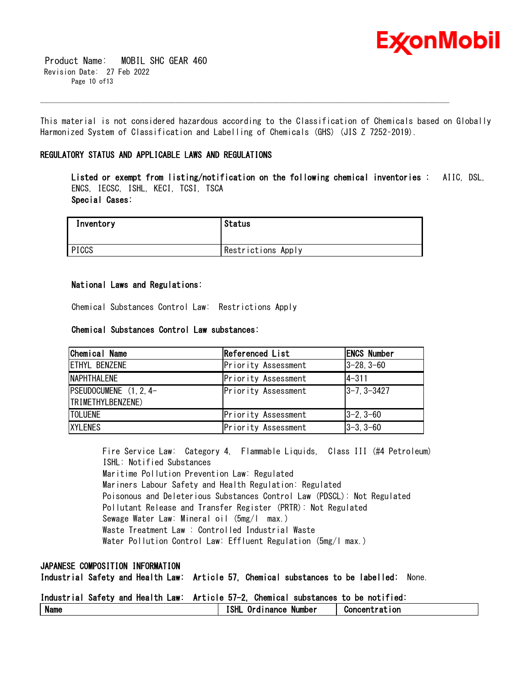

 Product Name: MOBIL SHC GEAR 460 Revision Date: 27 Feb 2022 Page 10 of13

This material is not considered hazardous according to the Classification of Chemicals based on Globally Harmonized System of Classification and Labelling of Chemicals (GHS) (JIS Z 7252–2019).

\_\_\_\_\_\_\_\_\_\_\_\_\_\_\_\_\_\_\_\_\_\_\_\_\_\_\_\_\_\_\_\_\_\_\_\_\_\_\_\_\_\_\_\_\_\_\_\_\_\_\_\_\_\_\_\_\_\_\_\_\_\_\_\_\_\_\_\_\_\_\_\_\_\_\_\_\_\_\_\_\_\_\_\_\_\_\_\_\_\_\_\_\_\_\_\_\_\_\_\_\_\_\_\_\_\_\_\_\_\_\_\_\_\_\_\_\_\_

### **REGULATORY STATUS AND APPLICABLE LAWS AND REGULATIONS**

**Listed or exempt from listing/notification on the following chemical inventories :** AIIC, DSL, ENCS, IECSC, ISHL, KECI, TCSI, TSCA **Special Cases:**

| Inventory | <b>Status</b>      |
|-----------|--------------------|
| PICCS     | Restrictions Apply |

#### **National Laws and Regulations:**

Chemical Substances Control Law: Restrictions Apply

#### **Chemical Substances Control Law substances:**

| Chemical Name             | Referenced List     | <b>ENCS Number</b> |
|---------------------------|---------------------|--------------------|
| <b>ETHYL BENZENE</b>      | Priority Assessment | $ 3-28, 3-60$      |
| <b>NAPHTHALENE</b>        | Priority Assessment | $14 - 311$         |
| $ PSEUDOCUMENE (1, 2, 4-$ | Priority Assessment | $ 3 - 7, 3 - 3427$ |
| TRIMETHYLBENZENE)         |                     |                    |
| <b>ITOLUENE</b>           | Priority Assessment | $ 3-2, 3-60 $      |
| <b>XYLENES</b>            | Priority Assessment | $ 3-3, 3-60$       |

Fire Service Law: Category 4, Flammable Liquids, Class III (#4 Petroleum) ISHL: Notified Substances Maritime Pollution Prevention Law: Regulated Mariners Labour Safety and Health Regulation: Regulated Poisonous and Deleterious Substances Control Law (PDSCL): Not Regulated Pollutant Release and Transfer Register (PRTR): Not Regulated Sewage Water Law: Mineral oil (5mg/l max.) Waste Treatment Law : Controlled Industrial Waste Water Pollution Control Law: Effluent Regulation (5mg/l max.)

#### **JAPANESE COMPOSITION INFORMATION**

**Industrial Safety and Health Law: Article 57, Chemical substances to be labelled:** None.

**Industrial Safety and Health Law: Article 57-2, Chemical substances to be notified:**

| -81<br>Name | ---<br>n<br>. .<br>Number<br>nance<br>. . | יי י<br>Gor |
|-------------|-------------------------------------------|-------------|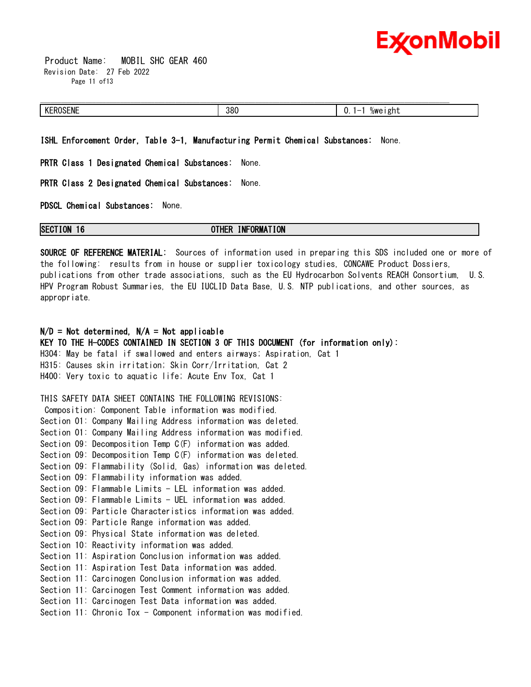

 Product Name: MOBIL SHC GEAR 460 Revision Date: 27 Feb 2022 Page 11 of 13

| 380 | $\overline{\phantom{a}}$<br>v. |
|-----|--------------------------------|

**ISHL Enforcement Order, Table 3-1, Manufacturing Permit Chemical Substances:** None.

**PRTR Class 1 Designated Chemical Substances:** None.

**PRTR Class 2 Designated Chemical Substances:** None.

**PDSCL Chemical Substances:** None.

**SECTION 16 OTHER INFORMATION**

**SOURCE OF REFERENCE MATERIAL:** Sources of information used in preparing this SDS included one or more of the following: results from in house or supplier toxicology studies, CONCAWE Product Dossiers, publications from other trade associations, such as the EU Hydrocarbon Solvents REACH Consortium, U.S. HPV Program Robust Summaries, the EU IUCLID Data Base, U.S. NTP publications, and other sources, as appropriate.

### **N/D = Not determined, N/A = Not applicable**

**KEY TO THE H-CODES CONTAINED IN SECTION 3 OF THIS DOCUMENT (for information only):** H304: May be fatal if swallowed and enters airways; Aspiration, Cat 1 H315: Causes skin irritation; Skin Corr/Irritation, Cat 2 H400: Very toxic to aquatic life; Acute Env Tox, Cat 1

THIS SAFETY DATA SHEET CONTAINS THE FOLLOWING REVISIONS: Composition: Component Table information was modified. Section 01: Company Mailing Address information was deleted. Section 01: Company Mailing Address information was modified. Section 09: Decomposition Temp C(F) information was added. Section 09: Decomposition Temp C(F) information was deleted. Section 09: Flammability (Solid, Gas) information was deleted. Section 09: Flammability information was added. Section 09: Flammable Limits - LEL information was added. Section 09: Flammable Limits - UEL information was added. Section 09: Particle Characteristics information was added. Section 09: Particle Range information was added. Section 09: Physical State information was deleted. Section 10: Reactivity information was added. Section 11: Aspiration Conclusion information was added. Section 11: Aspiration Test Data information was added. Section 11: Carcinogen Conclusion information was added. Section 11: Carcinogen Test Comment information was added. Section 11: Carcinogen Test Data information was added. Section 11: Chronic Tox - Component information was modified.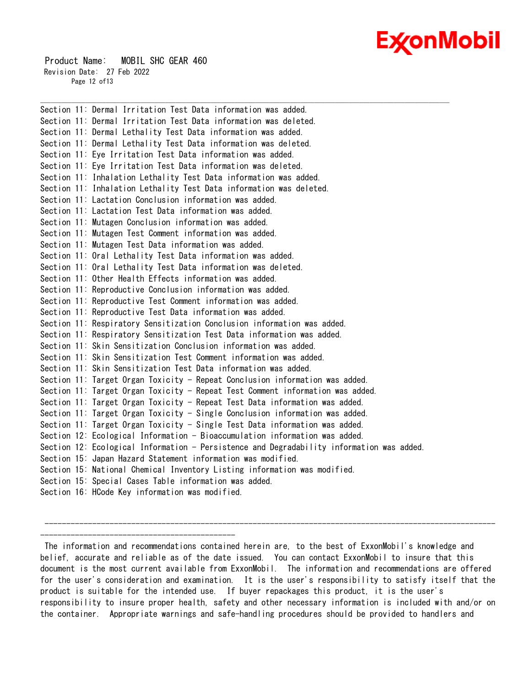# Ex⁄onMobil

 Product Name: MOBIL SHC GEAR 460 Revision Date: 27 Feb 2022 Page 12 of13

Section 11: Dermal Irritation Test Data information was added. Section 11: Dermal Irritation Test Data information was deleted. Section 11: Dermal Lethality Test Data information was added. Section 11: Dermal Lethality Test Data information was deleted. Section 11: Eye Irritation Test Data information was added. Section 11: Eye Irritation Test Data information was deleted. Section 11: Inhalation Lethality Test Data information was added. Section 11: Inhalation Lethality Test Data information was deleted. Section 11: Lactation Conclusion information was added. Section 11: Lactation Test Data information was added. Section 11: Mutagen Conclusion information was added. Section 11: Mutagen Test Comment information was added. Section 11: Mutagen Test Data information was added. Section 11: Oral Lethality Test Data information was added. Section 11: Oral Lethality Test Data information was deleted. Section 11: Other Health Effects information was added. Section 11: Reproductive Conclusion information was added. Section 11: Reproductive Test Comment information was added. Section 11: Reproductive Test Data information was added. Section 11: Respiratory Sensitization Conclusion information was added. Section 11: Respiratory Sensitization Test Data information was added. Section 11: Skin Sensitization Conclusion information was added. Section 11: Skin Sensitization Test Comment information was added. Section 11: Skin Sensitization Test Data information was added. Section 11: Target Organ Toxicity - Repeat Conclusion information was added. Section 11: Target Organ Toxicity - Repeat Test Comment information was added. Section 11: Target Organ Toxicity - Repeat Test Data information was added. Section 11: Target Organ Toxicity - Single Conclusion information was added. Section 11: Target Organ Toxicity - Single Test Data information was added. Section 12: Ecological Information - Bioaccumulation information was added. Section 12: Ecological Information - Persistence and Degradability information was added. Section 15: Japan Hazard Statement information was modified. Section 15: National Chemical Inventory Listing information was modified. Section 15: Special Cases Table information was added. Section 16: HCode Key information was modified.

\_\_\_\_\_\_\_\_\_\_\_\_\_\_\_\_\_\_\_\_\_\_\_\_\_\_\_\_\_\_\_\_\_\_\_\_\_\_\_\_\_\_\_\_\_\_\_\_\_\_\_\_\_\_\_\_\_\_\_\_\_\_\_\_\_\_\_\_\_\_\_\_\_\_\_\_\_\_\_\_\_\_\_\_\_\_\_\_\_\_\_\_\_\_\_\_\_\_\_\_\_\_\_\_\_\_\_\_\_\_\_\_\_\_\_\_\_\_

#### -------------------------------------------------------------------------------------------------------- ---------------------------------------------

The information and recommendations contained herein are, to the best of ExxonMobil's knowledge and belief, accurate and reliable as of the date issued. You can contact ExxonMobil to insure that this document is the most current available from ExxonMobil. The information and recommendations are offered for the user's consideration and examination. It is the user's responsibility to satisfy itself that the product is suitable for the intended use. If buyer repackages this product, it is the user's responsibility to insure proper health, safety and other necessary information is included with and/or on the container. Appropriate warnings and safe-handling procedures should be provided to handlers and